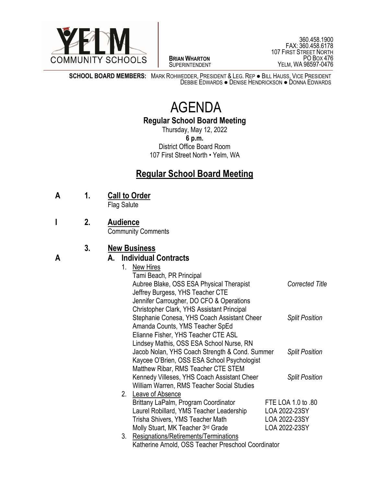

 $\overline{a}$ **BRIAN WHARTON** SUPERINTENDENT

360.458.1900 FAX: 360.458.6178 107 FIRST STREET NORTH PO BOX 476 YELM, WA 98597-0476

**SCHOOL BOARD MEMBERS:** MARK ROHWEDDER, PRESIDENT & LEG. REP ● BILL HAUSS, VICE PRESIDENT DEBBIE EDWARDS ● DENISE HENDRICKSON ● DONNA EDWARDS

# AGENDA

**Regular School Board Meeting**

Thursday, May 12, 2022 **6 p.m.** District Office Board Room 107 First Street North • Yelm, WA

## **Regular School Board Meeting**

**A 1. Call to Order**

Flag Salute

**I 2. Audience**

Community Comments

#### **3. New Business**

#### **A A. Individual Contracts**

|    | 1. New Hires                                        |                        |
|----|-----------------------------------------------------|------------------------|
|    | Tami Beach, PR Principal                            |                        |
|    | Aubree Blake, OSS ESA Physical Therapist            | <b>Corrected Title</b> |
|    | Jeffrey Burgess, YHS Teacher CTE                    |                        |
|    | Jennifer Carrougher, DO CFO & Operations            |                        |
|    | <b>Christopher Clark, YHS Assistant Principal</b>   |                        |
|    | Stephanie Conesa, YHS Coach Assistant Cheer         | <b>Split Position</b>  |
|    | Amanda Counts, YMS Teacher SpEd                     |                        |
|    | Elianne Fisher, YHS Teacher CTE ASL                 |                        |
|    | Lindsey Mathis, OSS ESA School Nurse, RN            |                        |
|    | Jacob Nolan, YHS Coach Strength & Cond. Summer      | <b>Split Position</b>  |
|    | Kaycee O'Brien, OSS ESA School Psychologist         |                        |
|    | Matthew Ribar, RMS Teacher CTE STEM                 |                        |
|    | Kennedy Villeses, YHS Coach Assistant Cheer         | <b>Split Position</b>  |
|    | William Warren, RMS Teacher Social Studies          |                        |
| 2. | Leave of Absence                                    |                        |
|    | Brittany LaPalm, Program Coordinator                | FTE LOA 1.0 to .80     |
|    | Laurel Robillard, YMS Teacher Leadership            | LOA 2022-23SY          |
|    | Trisha Shivers, YMS Teacher Math                    | LOA 2022-23SY          |
|    | Molly Stuart, MK Teacher 3 <sup>rd</sup> Grade      | LOA 2022-23SY          |
| 3. | Resignations/Retirements/Terminations               |                        |
|    | Katherine Arnold, OSS Teacher Preschool Coordinator |                        |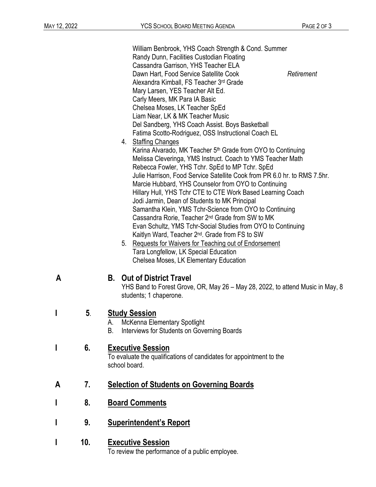William Benbrook, YHS Coach Strength & Cond. Summer Randy Dunn, Facilities Custodian Floating Cassandra Garrison, YHS Teacher ELA Dawn Hart, Food Service Satellite Cook **Retirement** Alexandra Kimball, FS Teacher 3rd Grade Mary Larsen, YES Teacher Alt Ed. Carly Meers, MK Para IA Basic Chelsea Moses, LK Teacher SpEd Liam Near, LK & MK Teacher Music Del Sandberg, YHS Coach Assist. Boys Basketball Fatima Scotto-Rodriguez, OSS Instructional Coach EL 4. Staffing Changes Karina Alvarado, MK Teacher 5<sup>th</sup> Grade from OYO to Continuing Melissa Cleveringa, YMS Instruct. Coach to YMS Teacher Math Rebecca Fowler, YHS Tchr. SpEd to MP Tchr. SpEd Julie Harrison, Food Service Satellite Cook from PR 6.0 hr. to RMS 7.5hr. Marcie Hubbard, YHS Counselor from OYO to Continuing Hillary Hull, YHS Tchr CTE to CTE Work Based Learning Coach Jodi Jarmin, Dean of Students to MK Principal Samantha Klein, YMS Tchr-Science from OYO to Continuing Cassandra Rorie, Teacher 2nd Grade from SW to MK Evan Schultz, YMS Tchr-Social Studies from OYO to Continuing Kaitlyn Ward, Teacher 2nd. Grade from FS to SW 5. Requests for Waivers for Teaching out of Endorsement

Tara Longfellow, LK Special Education Chelsea Moses, LK Elementary Education

#### **A B. Out of District Travel**

YHS Band to Forest Grove, OR, May 26 – May 28, 2022, to attend Music in May, 8 students; 1 chaperone.

### **I 5**. **Study Session**

- A. McKenna Elementary Spotlight
- B. Interviews for Students on Governing Boards

#### **I 6. Executive Session**

To evaluate the qualifications of candidates for appointment to the school board.

### **A 7. Selection of Students on Governing Boards**

- **I 8. Board Comments**
- **I 9. Superintendent's Report**
- **I 10. Executive Session**

To review the performance of a public employee.